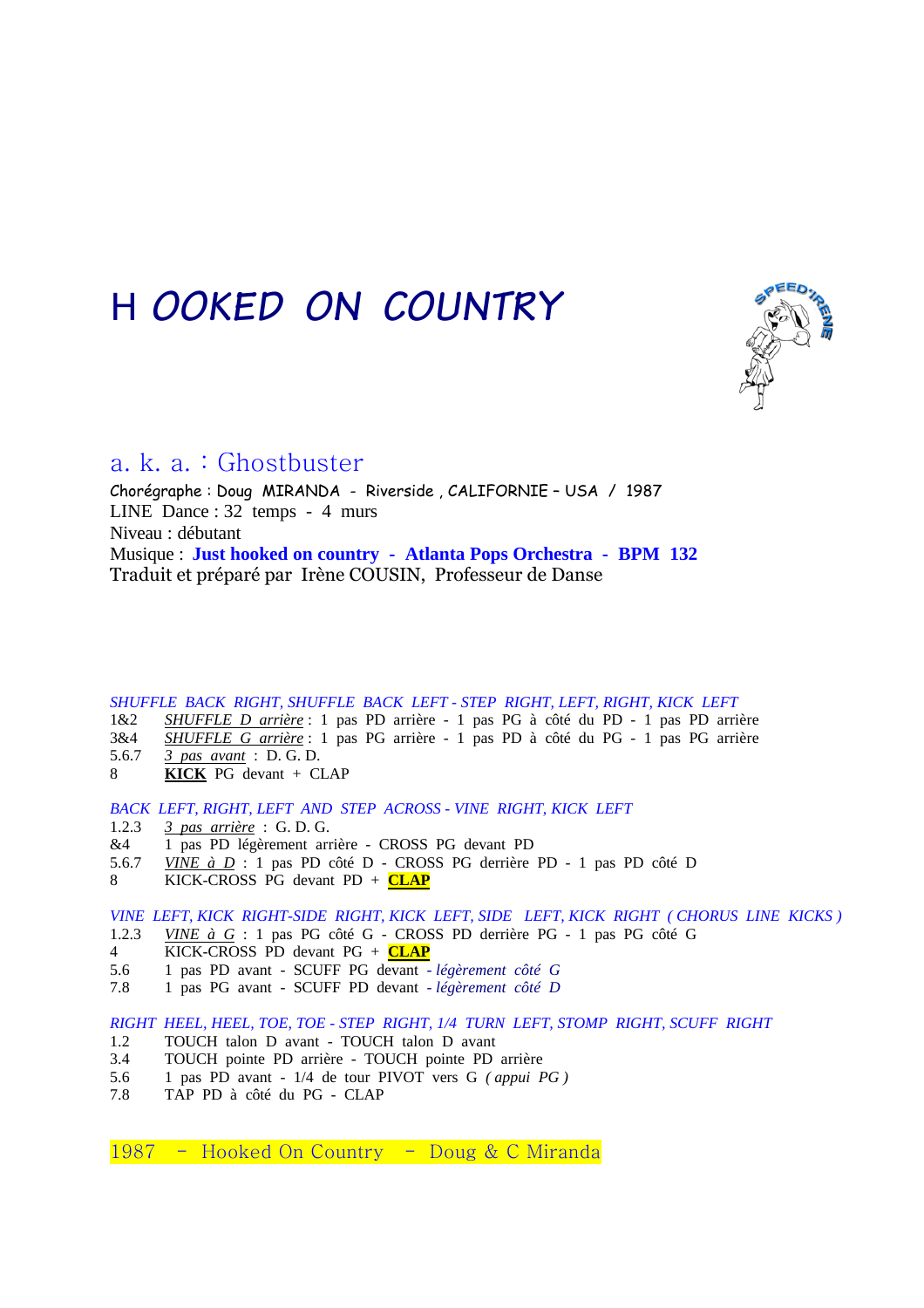# *HOOKED ON COUNTRY*



# a. k. a. : Ghostbuster

Chorégraphe : Doug MIRANDA - Riverside , CALIFORNIE – USA / 1987 LINE Dance : 32 temps - 4 murs Niveau : débutant Musique : **Just hooked on country - Atlanta Pops Orchestra - BPM 132**  Traduit et préparé par Irène COUSIN, Professeur de Danse

### *SHUFFLE BACK RIGHT, SHUFFLE BACK LEFT - STEP RIGHT, LEFT, RIGHT, KICK LEFT*

- 1&2 *SHUFFLE D arrière* : 1 pas PD arrière 1 pas PG à côté du PD 1 pas PD arrière
- 3&4 *SHUFFLE G arrière* : 1 pas PG arrière 1 pas PD à côté du PG 1 pas PG arrière
- 5.6.7 *3 pas avant* : D. G. D.
- 8 **KICK** PG devant + CLAP

#### *BACK LEFT, RIGHT, LEFT AND STEP ACROSS - VINE RIGHT, KICK LEFT*

- 1.2.3 *3 pas arrière* : G. D. G.
- &4 1 pas PD légèrement arrière CROSS PG devant PD
- 5.6.7 *VINE à D* : 1 pas PD côté D CROSS PG derrière PD 1 pas PD côté D
- 8 KICK-CROSS PG devant PD + **CLAP**

### *VINE LEFT, KICK RIGHT-SIDE RIGHT, KICK LEFT, SIDE LEFT, KICK RIGHT ( CHORUS LINE KICKS )*

- 1.2.3 *VINE à G* : 1 pas PG côté G CROSS PD derrière PG 1 pas PG côté G
- 4 KICK-CROSS PD devant PG + **CLAP**<br>5.6 1 pas PD avant SCUFF PG devant -
- 5.6 1 pas PD avant SCUFF PG devant *légèrement côté G*
- 7.8 1 pas PG avant SCUFF PD devant *légèrement côté D*

#### *RIGHT HEEL, HEEL, TOE, TOE - STEP RIGHT, 1/4 TURN LEFT, STOMP RIGHT, SCUFF RIGHT*

- 1.2 TOUCH talon D avant TOUCH talon D avant
- 3.4 TOUCH pointe PD arrière TOUCH pointe PD arrière<br>5.6 1 pas PD avant 1/4 de tour PIVOT vers G (appui F
- 5.6 1 pas PD avant 1/4 de tour PIVOT vers G *( appui PG )*
- 7.8 TAP PD à côté du PG CLAP

1987 - Hooked On Country - Doug & C Miranda